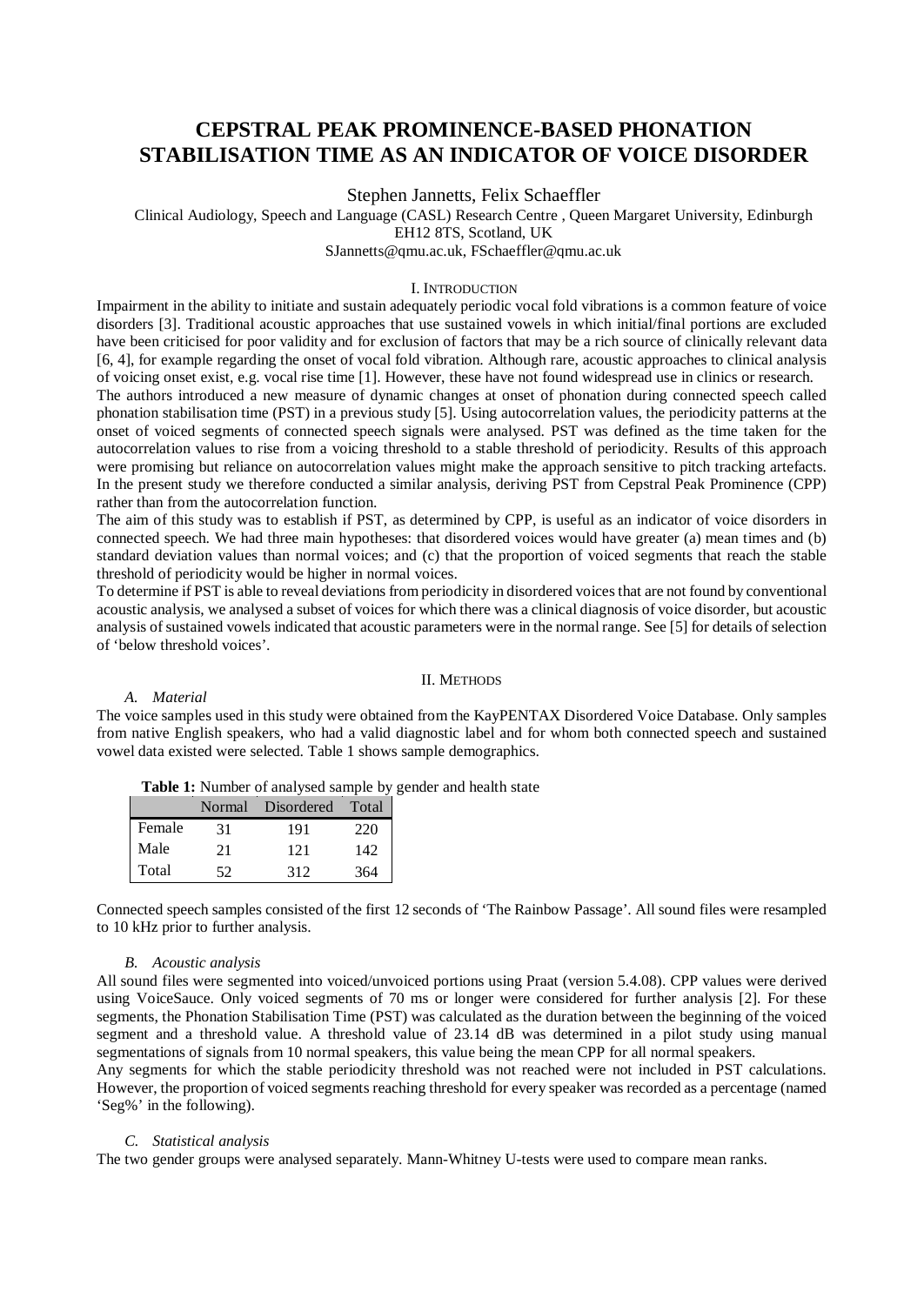# **CEPSTRAL PEAK PROMINENCE-BASED PHONATION STABILISATION TIME AS AN INDICATOR OF VOICE DISORDER**

Stephen Jannetts, Felix Schaeffler

Clinical Audiology, Speech and Language (CASL) Research Centre , Queen Margaret University, Edinburgh

EH12 8TS, Scotland, UK

SJannetts@qmu.ac.uk, FSchaeffler@qmu.ac.uk

## I. INTRODUCTION

Impairment in the ability to initiate and sustain adequately periodic vocal fold vibrations is a common feature of voice disorders [3]. Traditional acoustic approaches that use sustained vowels in which initial/final portions are excluded have been criticised for poor validity and for exclusion of factors that may be a rich source of clinically relevant data [6, 4], for example regarding the onset of vocal fold vibration. Although rare, acoustic approaches to clinical analysis of voicing onset exist, e.g. vocal rise time [1]. However, these have not found widespread use in clinics or research.

The authors introduced a new measure of dynamic changes at onset of phonation during connected speech called phonation stabilisation time (PST) in a previous study [5]. Using autocorrelation values, the periodicity patterns at the onset of voiced segments of connected speech signals were analysed. PST was defined as the time taken for the autocorrelation values to rise from a voicing threshold to a stable threshold of periodicity. Results of this approach were promising but reliance on autocorrelation values might make the approach sensitive to pitch tracking artefacts. In the present study we therefore conducted a similar analysis, deriving PST from Cepstral Peak Prominence (CPP) rather than from the autocorrelation function.

The aim of this study was to establish if PST, as determined by CPP, is useful as an indicator of voice disorders in connected speech. We had three main hypotheses: that disordered voices would have greater (a) mean times and (b) standard deviation values than normal voices; and (c) that the proportion of voiced segments that reach the stable threshold of periodicity would be higher in normal voices.

To determine if PST is able to reveal deviations from periodicity in disordered voices that are not found by conventional acoustic analysis, we analysed a subset of voices for which there was a clinical diagnosis of voice disorder, but acoustic analysis of sustained vowels indicated that acoustic parameters were in the normal range. See [5] for details of selection of 'below threshold voices'.

#### II. METHODS

#### *A. Material*

The voice samples used in this study were obtained from the KayPENTAX Disordered Voice Database. Only samples from native English speakers, who had a valid diagnostic label and for whom both connected speech and sustained vowel data existed were selected. Table 1 shows sample demographics.

**Table 1:** Number of analysed sample by gender and health state

|        |     | Normal Disordered Total |     |
|--------|-----|-------------------------|-----|
| Female | 31  | 191                     | 220 |
| Male   | 21  | 121                     | 142 |
| Total  | 52. | 312                     | 364 |

Connected speech samples consisted of the first 12 seconds of 'The Rainbow Passage'. All sound files were resampled to 10 kHz prior to further analysis.

# *B. Acoustic analysis*

All sound files were segmented into voiced/unvoiced portions using Praat (version 5.4.08). CPP values were derived using VoiceSauce. Only voiced segments of 70 ms or longer were considered for further analysis [2]. For these segments, the Phonation Stabilisation Time (PST) was calculated as the duration between the beginning of the voiced segment and a threshold value. A threshold value of 23.14 dB was determined in a pilot study using manual segmentations of signals from 10 normal speakers, this value being the mean CPP for all normal speakers.

Any segments for which the stable periodicity threshold was not reached were not included in PST calculations. However, the proportion of voiced segments reaching threshold for every speaker was recorded as a percentage (named 'Seg%' in the following).

## *C. Statistical analysis*

The two gender groups were analysed separately. Mann-Whitney U-tests were used to compare mean ranks.